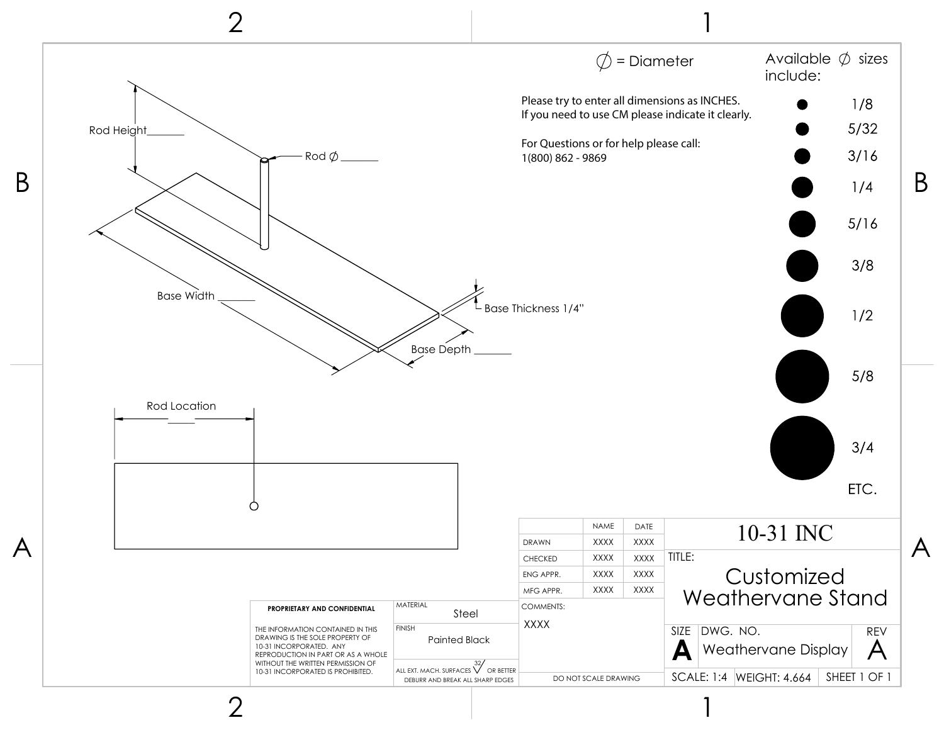

2